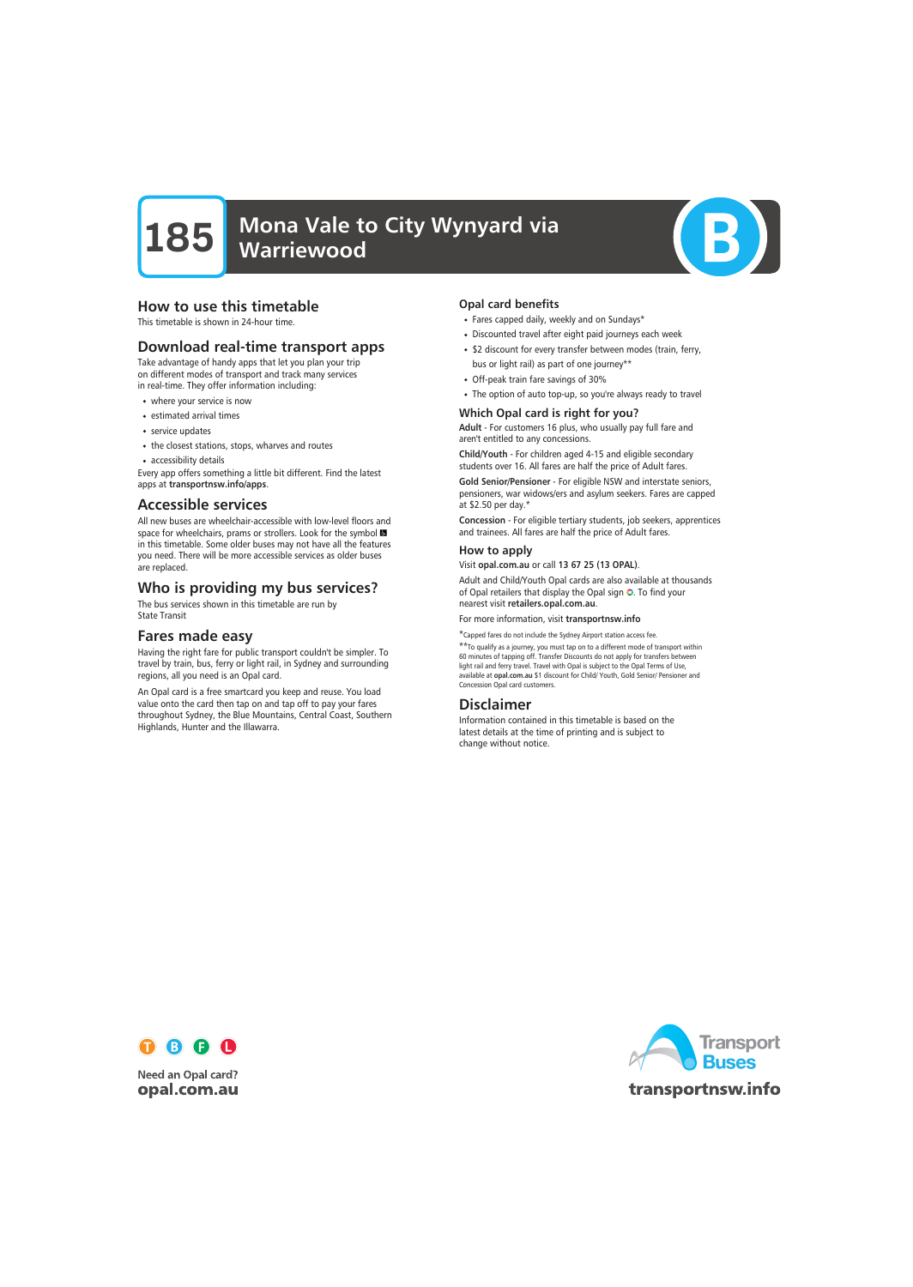

#### How to use this timetable

This timetable is shown in 24-hour time.

#### Download real-time transport apps

Take advantage of handy apps that let you plan your trip on different modes of transport and track many services in real-time. They offer information including:

- where your service is now
- estimated arrival times
- service updates
- the closest stations, stops, wharves and routes
- accessibility details

Every app offers something a little bit different. Find the latest apps at transportnsw.info/apps.

#### Accessible services

All new buses are wheelchair-accessible with low-level floors and space for wheelchairs, prams or strollers. Look for the symbol in this timetable. Some older buses may not have all the features you need. There will be more accessible services as older buses are replaced.

### Who is providing my bus services?

The bus services shown in this timetable are run by State Transit

#### Fares made easy

Having the right fare for public transport couldn't be simpler. To travel by train, bus, ferry or light rail, in Sydney and surrounding regions, all you need is an Opal card.

An Opal card is a free smartcard you keep and reuse. You load value onto the card then tap on and tap off to pay your fares throughout Sydney, the Blue Mountains, Central Coast, Southern Highlands, Hunter and the Illawarra.

#### Opal card benefits

- Fares capped daily, weekly and on Sundays\*
- Discounted travel after eight paid journeys each week
- \$2 discount for every transfer between modes (train, ferry, bus or light rail) as part of one journey\*\*
- Off-peak train fare savings of 30%
- The option of auto top-up, so you're always ready to travel

#### Which Opal card is right for you?

Adult - For customers 16 plus, who usually pay full fare and aren't entitled to any concessions.

Child/Youth - For children aged 4-15 and eligible secondary students over 16. All fares are half the price of Adult fares.

Gold Senior/Pensioner - For eligible NSW and interstate seniors, pensioners, war widows/ers and asylum seekers. Fares are capped at \$2.50 per day.\*

Concession - For eligible tertiary students, job seekers, apprentices and trainees. All fares are half the price of Adult fares.

#### How to apply

Visit opal.com.au or call 13 67 25 (13 OPAL).

Adult and Child/Youth Opal cards are also available at thousands of Opal retailers that display the Opal sign O. To find your nearest visit retailers.opal.com.au.

For more information, visit transportnsw.info

\*Capped fares do not include the Sydney Airport station access fee.

\*\*To qualify as a journey, you must tap on to a different mode of transport within 60 minutes of tapping off. Transfer Discounts do not apply for transfers between light rail and ferry travel. Travel with Opal is subject to the Opal Terms of Use, available at opal.com.au \$1 discount for Child/ Youth, Gold Senior/ Pensioner and Concession Opal card customers.

#### Disclaimer

Information contained in this timetable is based on the latest details at the time of printing and is subject to change without notice.



**Need an Opal card?** opal.com.au

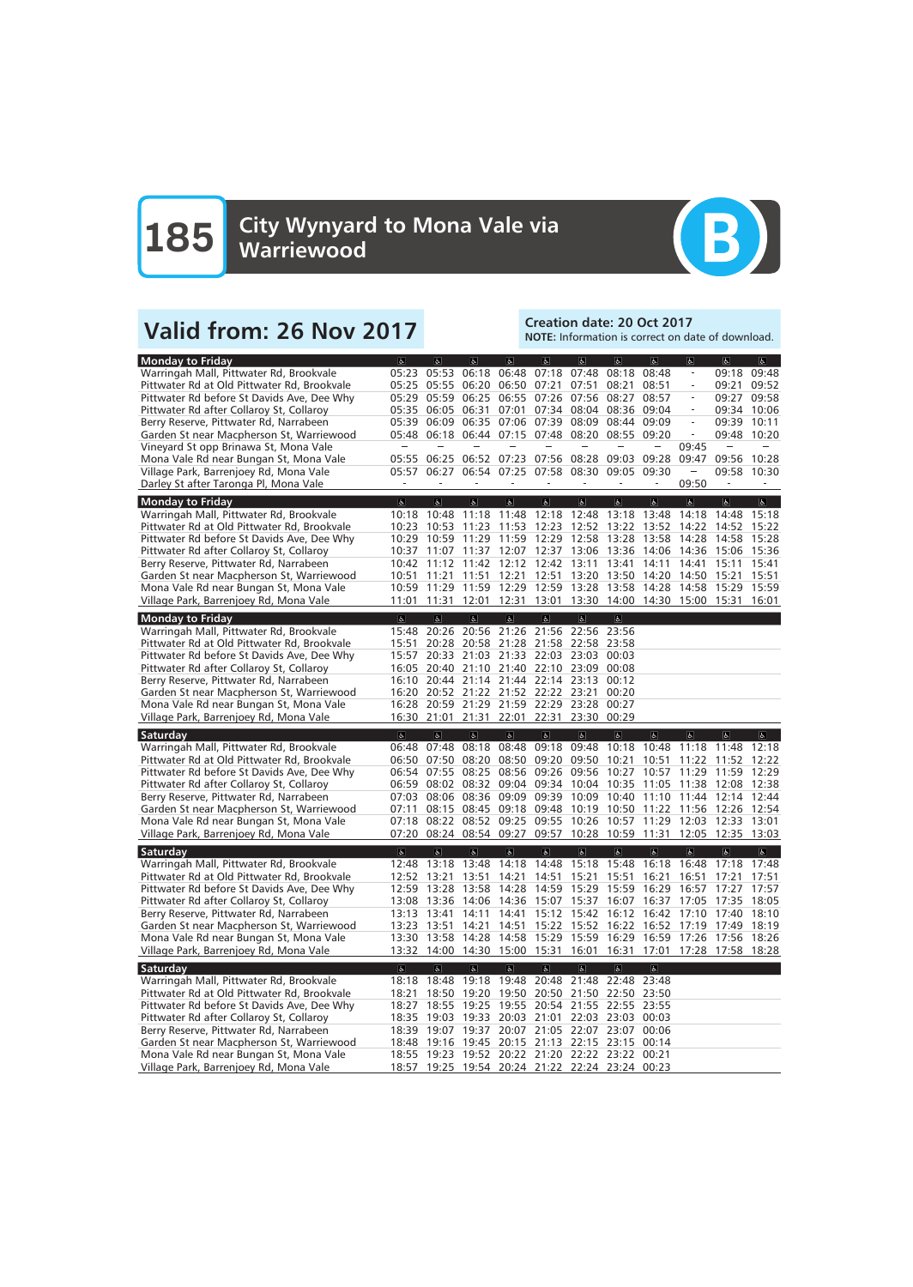

## Valid from: 26 Nov 2017<br>Note: Information is correct on date: 20 Oct 2017

NOTE: Information is correct on date of download.

| <b>Monday to Friday</b>                     | $\sigma$                | $\overline{a}$          | $ \mathbf{f} $                                        | $\left  \mathbf{F} \right $        | $\overline{a}$                   | $\overline{a}$                                  | $\overline{6}$                                        | $\sigma$                | $\overline{\mathbf{c}}$  | $\overline{a}$    | $\sigma$                |
|---------------------------------------------|-------------------------|-------------------------|-------------------------------------------------------|------------------------------------|----------------------------------|-------------------------------------------------|-------------------------------------------------------|-------------------------|--------------------------|-------------------|-------------------------|
| Warringah Mall, Pittwater Rd, Brookvale     | 05:23                   | 05:53                   | 06:18                                                 | 06:48                              | 07:18                            | 07:48                                           | 08:18                                                 | 08:48                   | $\overline{\phantom{a}}$ | 09:18             | 09:48                   |
| Pittwater Rd at Old Pittwater Rd, Brookvale | 05:25                   | 05:55                   | 06:20                                                 |                                    | 06:50 07:21                      | 07:51                                           | 08:21                                                 | 08:51                   | $\equiv$                 | 09:21             | 09:52                   |
| Pittwater Rd before St Davids Ave, Dee Why  | 05:29                   | 05:59                   | 06:25                                                 |                                    |                                  | 06:55 07:26 07:56 08:27                         |                                                       | 08:57                   | $\overline{\phantom{a}}$ | 09:27             | 09:58                   |
| Pittwater Rd after Collaroy St, Collaroy    |                         | 05:35 06:05             | 06:31                                                 |                                    |                                  | 07:01 07:34 08:04 08:36                         |                                                       | 09:04                   | $\overline{\phantom{a}}$ | 09:34 10:06       |                         |
| Berry Reserve, Pittwater Rd, Narrabeen      | 05:39                   | 06:09                   |                                                       |                                    | 06:35 07:06 07:39 08:09          |                                                 | 08:44 09:09                                           |                         | $\overline{\phantom{a}}$ | 09:39             | 10:11                   |
| Garden St near Macpherson St, Warriewood    |                         |                         | 05:48 06:18 06:44 07:15 07:48                         |                                    |                                  | 08:20                                           | 08:55 09:20                                           |                         |                          | 09:48             | 10:20                   |
| Vineyard St opp Brinawa St, Mona Vale       |                         |                         |                                                       |                                    |                                  |                                                 |                                                       |                         | 09:45                    |                   |                         |
| Mona Vale Rd near Bungan St, Mona Vale      |                         |                         | 05:55 06:25 06:52 07:23 07:56 08:28 09:03 09:28       |                                    |                                  |                                                 |                                                       |                         | 09:47                    | 09:56             | 10:28                   |
| Village Park, Barrenjoey Rd, Mona Vale      | 05:57                   | 06:27                   |                                                       |                                    |                                  | 06:54 07:25 07:58 08:30 09:05                   |                                                       | 09:30                   |                          | 09:58 10:30       |                         |
| Darley St after Taronga Pl, Mona Vale       |                         |                         |                                                       |                                    |                                  |                                                 |                                                       |                         | 09:50                    |                   |                         |
| <b>Monday to Friday</b>                     | $\overline{a}$          | $\overline{a}$          | $\overline{6}$                                        | $\mathbf{P}$                       | $\overline{a}$                   | $\overline{\mathbf{e}}$                         | $\sigma$                                              | $\overline{6}$          | $\overline{6}$           | $\sigma$          | $\overline{\mathbf{e}}$ |
| Warringah Mall, Pittwater Rd, Brookvale     | 10:18                   | 10:48                   | 11:18                                                 | 11:48                              | 12:18                            | 12:48                                           | 13:18                                                 | 13:48                   | 14:18                    | 14:48             | 15:18                   |
| Pittwater Rd at Old Pittwater Rd, Brookvale | 10:23                   | 10:53                   | 11:23                                                 | 11:53                              | 12:23                            | 12:52 13:22                                     |                                                       | 13:52                   | 14:22                    | 14:52             | 15:22                   |
| Pittwater Rd before St Davids Ave, Dee Why  | 10:29                   | 10:59                   |                                                       |                                    | 11:29 11:59 12:29 12:58          |                                                 | 13:28                                                 | 13:58                   | 14:28                    | 14:58             | 15:28                   |
| Pittwater Rd after Collaroy St, Collaroy    | 10:37                   | 11:07                   | 11:37 12:07 12:37 13:06                               |                                    |                                  |                                                 | 13:36                                                 | 14:06                   | 14:36 15:06              |                   | 15:36                   |
| Berry Reserve, Pittwater Rd, Narrabeen      | 10:42                   |                         | 11:12 11:42 12:12 12:42 13:11                         |                                    |                                  |                                                 | 13:41                                                 | 14:11                   | 14:41                    | 15:11             | 15:41                   |
| Garden St near Macpherson St, Warriewood    | 10:51                   |                         | 11:21 11:51                                           |                                    |                                  | 12:21 12:51 13:20 13:50                         |                                                       |                         | 14:20 14:50 15:21        |                   | 15:51                   |
| Mona Vale Rd near Bungan St, Mona Vale      | 10:59                   |                         | 11:29 11:59 12:29 12:59 13:28 13:58                   |                                    |                                  |                                                 |                                                       | 14:28                   | 14:58 15:29 15:59        |                   |                         |
| Village Park, Barrenjoey Rd, Mona Vale      | 11:01                   |                         | 11:31 12:01 12:31 13:01 13:30 14:00 14:30 15:00 15:31 |                                    |                                  |                                                 |                                                       |                         |                          |                   | 16:01                   |
|                                             |                         |                         |                                                       |                                    |                                  |                                                 |                                                       |                         |                          |                   |                         |
| <b>Monday to Friday</b>                     | $\Delta$                | $\overline{\mathbf{g}}$ | $\sigma$                                              | $\left\vert \mathbf{q}\right\vert$ | $\sigma$                         | $\mathbf{g}$                                    | $\overline{6}$                                        |                         |                          |                   |                         |
| Warringah Mall, Pittwater Rd, Brookvale     | 15:48                   | 20:26                   |                                                       | 20:56 21:26 21:56                  |                                  | 22:56                                           | 23:56                                                 |                         |                          |                   |                         |
| Pittwater Rd at Old Pittwater Rd, Brookvale | 15:51                   |                         | 20:28 20:58 21:28 21:58 22:58                         |                                    |                                  |                                                 | 23:58                                                 |                         |                          |                   |                         |
| Pittwater Rd before St Davids Ave, Dee Why  | 15:57                   |                         | 20:33 21:03 21:33 22:03 23:03                         |                                    |                                  |                                                 | 00:03                                                 |                         |                          |                   |                         |
| Pittwater Rd after Collaroy St, Collaroy    | 16:05                   |                         | 20:40 21:10 21:40 22:10 23:09                         |                                    |                                  |                                                 | 00:08                                                 |                         |                          |                   |                         |
| Berry Reserve, Pittwater Rd, Narrabeen      |                         |                         | 16:10 20:44 21:14 21:44 22:14 23:13                   |                                    |                                  |                                                 | 00:12                                                 |                         |                          |                   |                         |
| Garden St near Macpherson St, Warriewood    |                         |                         | 16:20 20:52 21:22 21:52 22:22 23:21                   |                                    |                                  |                                                 | 00:20                                                 |                         |                          |                   |                         |
| Mona Vale Rd near Bungan St, Mona Vale      |                         |                         | 16:28 20:59 21:29 21:59 22:29 23:28                   |                                    |                                  |                                                 | 00:27                                                 |                         |                          |                   |                         |
| Village Park, Barrenjoey Rd, Mona Vale      |                         |                         | 16:30 21:01 21:31 22:01 22:31 23:30                   |                                    |                                  |                                                 | 00:29                                                 |                         |                          |                   |                         |
| Saturday                                    | $\alpha$                | $\mathbf{r}$            | $\mathbf{P}$                                          | $\mathbf{P}$                       | $\mathbf{e}$                     | $\mathbf{P}$                                    | $\mathbf{g}$                                          | $\sigma$                | $\sigma$                 | $\sigma$          | P                       |
| Warringah Mall, Pittwater Rd, Brookvale     | 06:48                   | 07:48                   | 08:18                                                 | 08:48                              | 09:18                            | 09:48                                           | 10:18                                                 | 10:48                   | 11:18                    | 11:48             | 12:18                   |
| Pittwater Rd at Old Pittwater Rd, Brookvale |                         | 06:50 07:50             |                                                       |                                    | 08:20 08:50 09:20 09:50          |                                                 | 10:21                                                 | 10:51                   | 11:22                    | 11:52             | 12:22                   |
| Pittwater Rd before St Davids Ave, Dee Why  | 06:54                   | 07:55                   |                                                       |                                    | 08:25 08:56 09:26 09:56          |                                                 | 10:27                                                 | 10:57                   | 11:29                    | 11:59             | 12:29                   |
| Pittwater Rd after Collaroy St, Collaroy    | 06:59                   | 08:02                   |                                                       |                                    |                                  | 08:32 09:04 09:34 10:04 10:35                   |                                                       | 11:05                   |                          | 11:38 12:08 12:38 |                         |
| Berry Reserve, Pittwater Rd, Narrabeen      | 07:03                   | 08:06                   |                                                       |                                    | 08:36 09:09 09:39 10:09          |                                                 | 10:40                                                 |                         | 11:10 11:44 12:14        |                   | 12:44                   |
| Garden St near Macpherson St, Warriewood    | 07:11                   | 08:15                   |                                                       |                                    | 08:45 09:18 09:48 10:19          |                                                 | 10:50                                                 | 11:22 11:56 12:26       |                          |                   | 12:54                   |
| Mona Vale Rd near Bungan St, Mona Vale      | 07:18                   | 08:22                   |                                                       |                                    |                                  |                                                 | 08:52 09:25 09:55 10:26 10:57 11:29 12:03 12:33 13:01 |                         |                          |                   |                         |
| Village Park, Barrenjoey Rd, Mona Vale      | 07:20                   |                         | 08:24 08:54 09:27 09:57 10:28 10:59 11:31             |                                    |                                  |                                                 |                                                       |                         | 12:05 12:35 13:03        |                   |                         |
| Saturday                                    | $\overline{\mathbf{g}}$ | $\overline{\mathbf{a}}$ | $\overline{\mathbf{r}}$                               | $\overline{6}$                     | $\vert \mathbf{r} \vert$         | $\overline{6}$                                  | $\overline{b}$                                        | $\overline{b}$          | $\overline{a}$           | $\sigma$          | $\sigma$                |
| Warringah Mall, Pittwater Rd, Brookvale     | 12:48                   | 13:18                   | 13:48                                                 | 14:18                              | 14:48                            | 15:18                                           | 15:48                                                 | 16:18                   | 16:48                    | 17:18             | 17:48                   |
| Pittwater Rd at Old Pittwater Rd, Brookvale | 12:52                   | 13:21                   | 13:51                                                 | 14:21                              | 14:51                            | 15:21                                           | 15:51                                                 | 16:21                   | 16:51                    | 17:21             | 17:51                   |
| Pittwater Rd before St Davids Ave, Dee Why  | 12:59                   | 13:28                   | 13:58                                                 | 14:28                              | 14:59 15:29                      |                                                 | 15:59                                                 |                         | 16:29 16:57 17:27        |                   | 17:57                   |
| Pittwater Rd after Collaroy St, Collaroy    |                         |                         | 13:08 13:36 14:06 14:36 15:07 15:37 16:07             |                                    |                                  |                                                 |                                                       | 16:37                   | 17:05 17:35              |                   | 18:05                   |
| Berry Reserve, Pittwater Rd, Narrabeen      |                         | 13:13 13:41             | 14:11                                                 |                                    |                                  | 14:41 15:12 15:42 16:12                         |                                                       |                         | 16:42 17:10 17:40        |                   | 18:10                   |
| Garden St near Macpherson St, Warriewood    |                         | 13:23 13:51             | 14:21                                                 |                                    |                                  | 14:51 15:22 15:52 16:22                         |                                                       | 16:52 17:19 17:49       |                          |                   | 18:19                   |
| Mona Vale Rd near Bungan St, Mona Vale      |                         |                         | 13:30 13:58 14:28 14:58 15:29 15:59 16:29             |                                    |                                  |                                                 |                                                       |                         | 16:59 17:26 17:56 18:26  |                   |                         |
| Village Park, Barrenjoey Rd, Mona Vale      |                         | 13:32 14:00             |                                                       | 14:30 15:00 15:31                  |                                  | 16:01                                           | 16:31                                                 | 17:01                   | 17:28 17:58 18:28        |                   |                         |
| Saturday                                    | $\overline{\infty}$     | $\overline{\mathbf{c}}$ | $\overline{\mathbf{e}}$                               | $\overline{\mathbf{e}}$            | $\left\vert \varphi \right\vert$ | $\overline{\mathbf{e}}$                         | $\overline{\mathbf{e}}$                               | $\overline{\mathbf{e}}$ |                          |                   |                         |
| Warringah Mall, Pittwater Rd, Brookvale     | 18:18                   | 18:48                   | 19:18                                                 |                                    |                                  |                                                 | 19:48 20:48 21:48 22:48 23:48                         |                         |                          |                   |                         |
| Pittwater Rd at Old Pittwater Rd, Brookvale | 18:21                   | 18:50                   |                                                       |                                    |                                  |                                                 | 19:20 19:50 20:50 21:50 22:50 23:50                   |                         |                          |                   |                         |
| Pittwater Rd before St Davids Ave, Dee Why  | 18:27                   |                         | 18:55 19:25 19:55 20:54 21:55 22:55 23:55             |                                    |                                  |                                                 |                                                       |                         |                          |                   |                         |
| Pittwater Rd after Collaroy St, Collaroy    |                         |                         | 18:35 19:03 19:33 20:03 21:01 22:03 23:03 00:03       |                                    |                                  |                                                 |                                                       |                         |                          |                   |                         |
| Berry Reserve, Pittwater Rd, Narrabeen      | 18:39                   |                         | 19:07 19:37 20:07 21:05 22:07 23:07 00:06             |                                    |                                  |                                                 |                                                       |                         |                          |                   |                         |
| Garden St near Macpherson St, Warriewood    |                         |                         | 18:48 19:16 19:45 20:15 21:13 22:15 23:15             |                                    |                                  |                                                 |                                                       | 00:14                   |                          |                   |                         |
| Mona Vale Rd near Bungan St, Mona Vale      |                         |                         | 18:55 19:23 19:52 20:22 21:20 22:22 23:22             |                                    |                                  |                                                 |                                                       | 00:21                   |                          |                   |                         |
| Village Park, Barrenjoey Rd, Mona Vale      |                         |                         |                                                       |                                    |                                  | 18:57 19:25 19:54 20:24 21:22 22:24 23:24 00:23 |                                                       |                         |                          |                   |                         |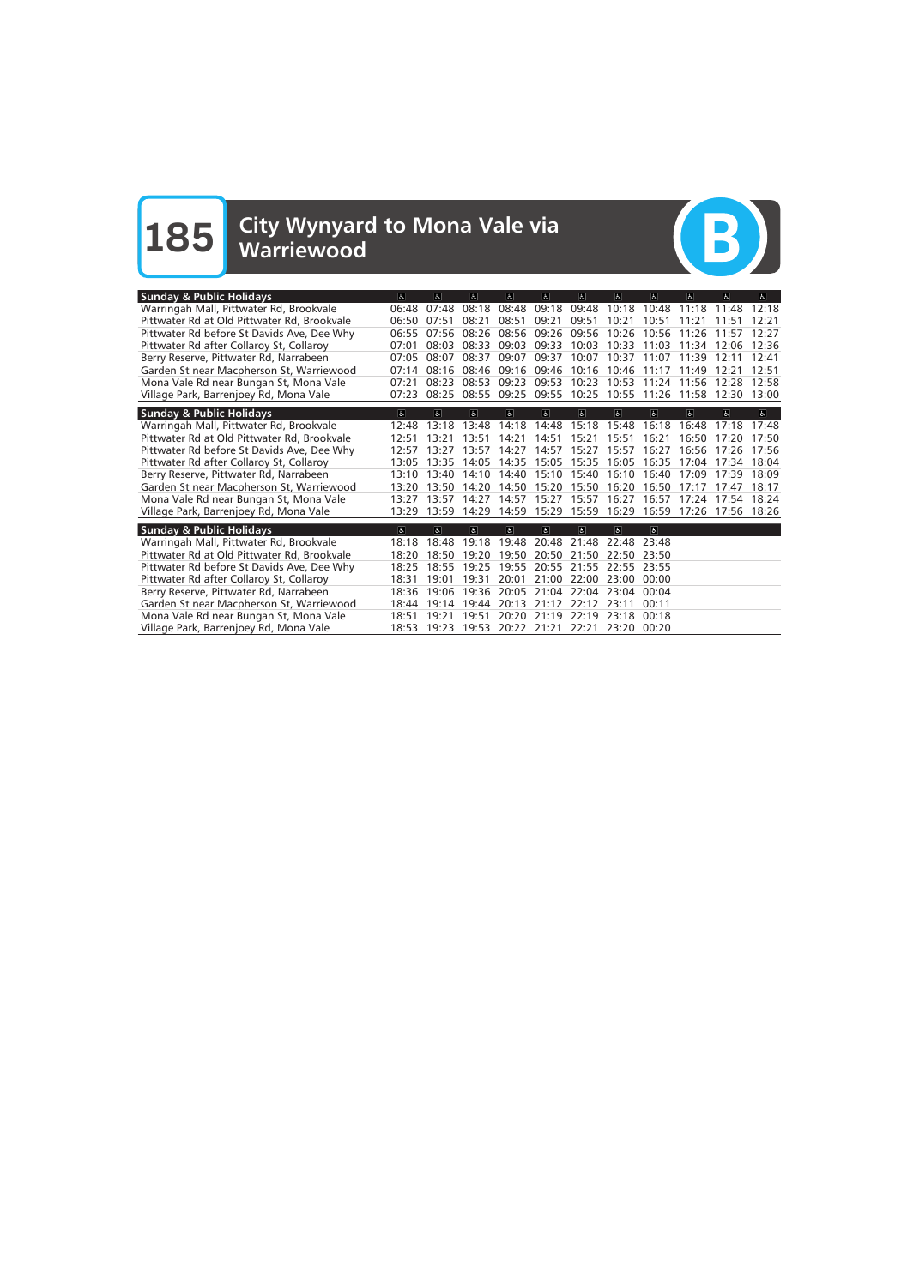# **185** City Wynyard to Mona Vale via Warriewood



| <b>Sunday &amp; Public Holidays</b>         | $\overline{a}$          | $\sigma$                | $\overline{a}$ | d              | a                       | $\overline{6}$    | $\Delta$       | $\sigma$       | $\sigma$                | d                 | $\overline{a}$          |
|---------------------------------------------|-------------------------|-------------------------|----------------|----------------|-------------------------|-------------------|----------------|----------------|-------------------------|-------------------|-------------------------|
| Warringah Mall, Pittwater Rd, Brookvale     | 06:48                   | 07:48                   | 08:18          | 08:48          | 09:18                   | 09:48             | 10:18          | 10:48          | 11:18                   | 11:48             | 12:18                   |
| Pittwater Rd at Old Pittwater Rd, Brookvale | 06:50                   | 07:51                   | 08:21          | 08:51          | 09:21                   | 09:51             | 10:21          | 10:51          | 11:21                   | 11:51             | 12:21                   |
| Pittwater Rd before St Davids Ave, Dee Why  | 06:55                   | 07:56                   | 08:26          | 08:56          | 09:26                   | 09:56             | 10:26          | 10:56          | 11:26                   | 11:57             | 12:27                   |
| Pittwater Rd after Collaroy St, Collaroy    | 07:01                   | 08:03                   | 08:33          | 09:03          | 09:33                   | 10:03             | 10:33          | 11:03          | 11:34                   | 12:06             | 12:36                   |
| Berry Reserve, Pittwater Rd, Narrabeen      | 07:05                   | 08:07                   | 08:37          | 09:07          | 09:37                   | 10:07             | 10:37          | 11:07          | 11:39                   | 12:11             | 12:41                   |
| Garden St near Macpherson St, Warriewood    | 07:14                   | 08:16                   | 08:46          | 09:16          | 09:46 10:16             |                   | 10:46          | 11:17          | 11:49                   | 12:21             | 12:51                   |
| Mona Vale Rd near Bungan St, Mona Vale      | 07:21                   | 08:23                   | 08:53          | 09:23          | 09:53                   | 10:23             | 10:53          | 11:24          | 11:56                   | 12:28             | 12:58                   |
| Village Park, Barrenjoey Rd, Mona Vale      | 07:23                   | 08:25                   | 08:55          | 09:25          | 09:55                   | 10:25             | 10:55          | 11:26          | 11:58                   | 12:30             | 13:00                   |
| <b>Sunday &amp; Public Holidays</b>         | $\overline{\mathbf{c}}$ | $\overline{\mathbf{a}}$ | $\overline{a}$ | $\overline{a}$ | $\overline{6}$          | $\overline{b}$    | $\overline{6}$ | $\overline{6}$ | $\overline{\mathbf{e}}$ | $\overline{a}$    | $\overline{\mathbf{a}}$ |
| Warringah Mall, Pittwater Rd, Brookvale     | 12:48                   | 13:18                   | 13:48          | 14:18          | 14:48                   | 15:18             | 15:48          | 16:18          | 16:48                   | 17:18             | 17:48                   |
| Pittwater Rd at Old Pittwater Rd, Brookvale | 12:51                   | 13:21                   | 13:51          | 14:21          | 14:51                   | 15:21             | 15:51          | 16:21          | 16:50                   | 17:20             | 17:50                   |
| Pittwater Rd before St Davids Ave, Dee Why  | 12.57                   | 13.27                   | 13.57          | 14:27          | 14:57                   | 15:27             | 15:57          | 16:27          | 16.56                   | 17.26             | 17:56                   |
| Pittwater Rd after Collaroy St, Collaroy    | 13:05                   | 13:35                   | 14:05          | 14:35          |                         | 15:05 15:35 16:05 |                | 16:35          | 17:04                   | 17:34             | 18:04                   |
| Berry Reserve, Pittwater Rd, Narrabeen      | 13:10                   | 13:40                   | 14:10          | 14:40          | 15:10                   | 15:40             | 16:10          | 16:40          | 17:09                   | 17:39             | 18:09                   |
| Garden St near Macpherson St, Warriewood    | 13:20                   | 13:50                   | 14:20          | 14:50          | 15:20                   | 15:50             | 16:20          | 16:50          | 17.17                   | 17:47             | 18:17                   |
| Mona Vale Rd near Bungan St, Mona Vale      | 13:27                   | 13:57                   | 14:27          | 14:57          |                         | 15:27 15:57       | 16:27          | 16:57          | 17:24                   | 17:54             | 18:24                   |
| Village Park, Barrenjoey Rd, Mona Vale      | 13:29                   | 13:59                   | 14:29          | 14:59          |                         | 15:29 15:59       | 16:29          | 16:59          |                         | 17:26 17:56 18:26 |                         |
| <b>Sunday &amp; Public Holidays</b>         | $\epsilon$              | $\sqrt{2}$              | $\alpha$       | $\mathbf{e}$   | 6 <sup>1</sup>          | $\sigma$          | $\mathbf{a}$   | $\overline{a}$ |                         |                   |                         |
| Warringah Mall, Pittwater Rd, Brookvale     | 18:18                   | 18:48                   | 19:18          |                | 19:48 20:48 21:48       |                   | 22:48          | 23:48          |                         |                   |                         |
| Pittwater Rd at Old Pittwater Rd, Brookvale | 18:20                   | 18:50                   | 19:20          | 19:50          | 20:50 21:50             |                   | 22:50          | 23:50          |                         |                   |                         |
| Pittwater Rd before St Davids Ave, Dee Why  | 18:25                   | 18:55                   | 19:25          | 19:55          | 20:55                   | 21:55             | 22:55          | 23:55          |                         |                   |                         |
| Pittwater Rd after Collaroy St, Collaroy    | 18:31                   | 19:01                   | 19:31          | 20:01          | 21:00                   | 22:00             | 23:00          | 00:00          |                         |                   |                         |
| Berry Reserve, Pittwater Rd, Narrabeen      | 18:36                   | 19:06                   | 19:36          | 20:05          | 21:04 22:04             |                   | 23:04          | 00:04          |                         |                   |                         |
| Garden St near Macpherson St, Warriewood    | 18:44                   | 19:14                   | 19:44          | 20:13          | 21:12                   | 22:12             | 23:11          | 00:11          |                         |                   |                         |
| Mona Vale Rd near Bungan St, Mona Vale      | 18:51                   | 19:21                   | 19:51          | 20:20          | 21:19                   | 22:19             | 23:18          | 00:18          |                         |                   |                         |
| Village Park, Barrenjoey Rd, Mona Vale      |                         | 18:53 19:23             |                |                | 19:53 20:22 21:21 22:21 |                   | 23:20          | 00:20          |                         |                   |                         |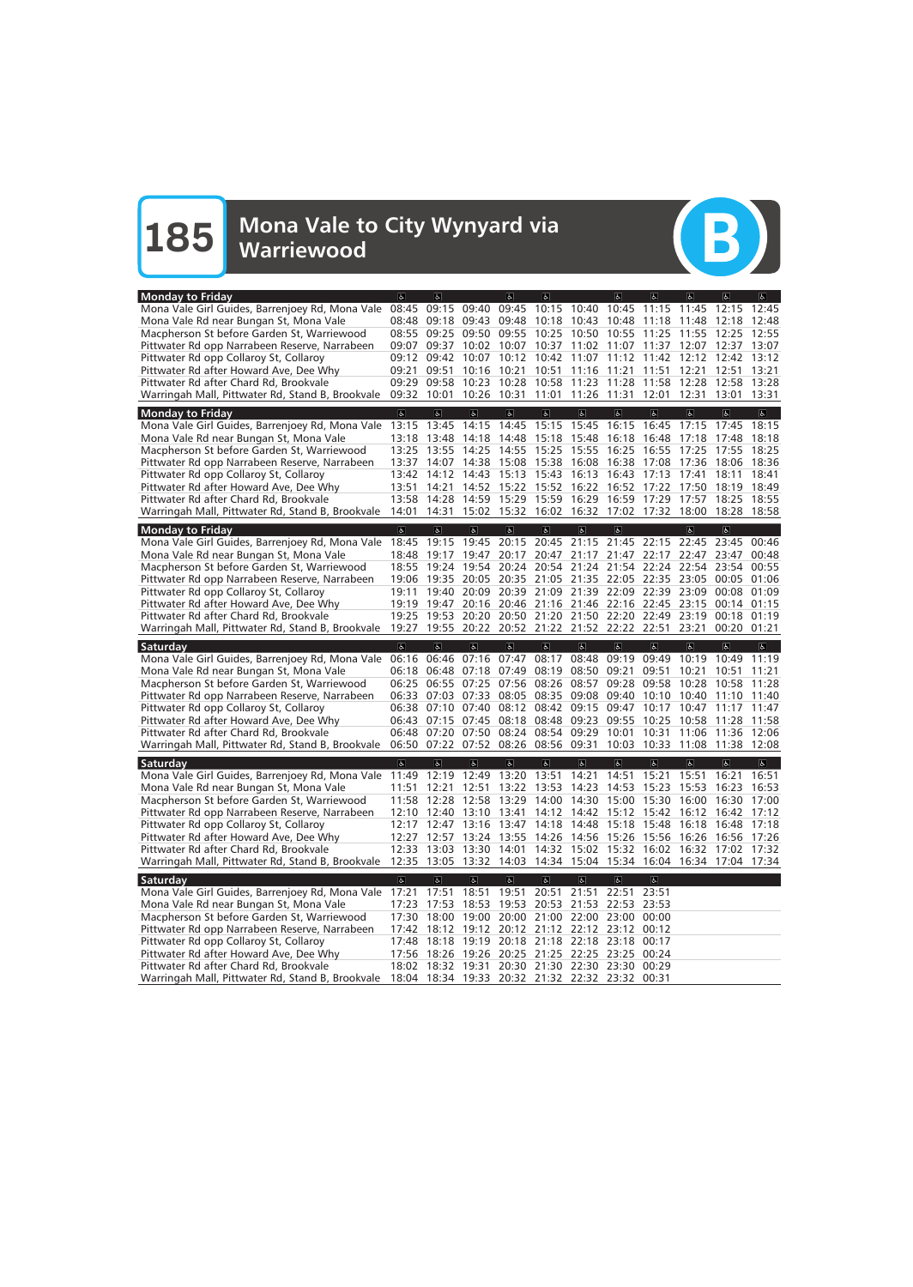

| <b>Monday to Friday</b>                                                                                           | $\sigma$                | $\overline{a}$                               |                         | d                                 | $\overline{a}$                      |                         | $\sigma$                                                                                                       | $\sigma$                         | $\overline{a}$          | $\overline{a}$          | $\overline{a}$          |
|-------------------------------------------------------------------------------------------------------------------|-------------------------|----------------------------------------------|-------------------------|-----------------------------------|-------------------------------------|-------------------------|----------------------------------------------------------------------------------------------------------------|----------------------------------|-------------------------|-------------------------|-------------------------|
| Mona Vale Girl Guides, Barrenjoey Rd, Mona Vale                                                                   | 08:45                   | 09:15                                        | 09:40                   | 09:45                             | 10:15 10:40                         |                         | 10:45                                                                                                          | 11:15                            | 11:45                   | 12:15                   | 12:45                   |
| Mona Vale Rd near Bungan St, Mona Vale                                                                            |                         | 08:48 09:18 09:43                            |                         | 09:48                             | 10:18 10:43 10:48                   |                         |                                                                                                                | 11:18                            | 11:48                   | 12:18                   | 12:48                   |
| Macpherson St before Garden St, Warriewood                                                                        |                         | 08:55 09:25                                  | 09:50 09:55             |                                   | 10:25                               | 10:50                   | 10:55                                                                                                          | 11:25                            | 11:55                   | 12:25                   | 12:55                   |
| Pittwater Rd opp Narrabeen Reserve, Narrabeen                                                                     | 09:07                   | 09:37                                        | 10:02                   | 10:07                             | 10:37                               | 11:02 11:07             |                                                                                                                | 11:37                            | 12:07                   | 12:37                   | 13:07                   |
| Pittwater Rd opp Collaroy St, Collaroy                                                                            |                         | 09:12 09:42                                  | 10:07                   | 10:12                             | 10:42                               | 11:07                   | 11:12                                                                                                          | 11:42                            | 12:12                   | 12:42                   | 13:12                   |
| Pittwater Rd after Howard Ave, Dee Why                                                                            | 09:21                   | 09:51                                        | 10:16                   | 10:21                             | 10:51                               | 11:16                   | 11:21                                                                                                          | 11:51                            | 12:21                   | 12:51                   | 13:21                   |
| Pittwater Rd after Chard Rd, Brookvale                                                                            |                         | 09:29 09:58                                  | 10:23                   | 10:28                             |                                     | 10:58 11:23 11:28       |                                                                                                                | 11:58                            | 12:28                   | 12:58 13:28             |                         |
| Warringah Mall, Pittwater Rd, Stand B, Brookvale 09:32 10:01                                                      |                         |                                              | 10:26 10:31             |                                   |                                     | 11:01 11:26 11:31       |                                                                                                                | 12:01                            | 12:31                   | 13:01                   | 13:31                   |
| <b>Monday to Friday</b>                                                                                           | $\overline{6}$          | $\overline{a}$                               | $\overline{\mathbf{c}}$ | $\overline{a}$                    | $\overline{d}$                      | $\overline{6}$          | $\overline{6}$                                                                                                 | $\overline{\mathbf{c}}$          | $\overline{\mathbf{e}}$ | $\overline{a}$          | $\overline{\mathbb{C}}$ |
| Mona Vale Girl Guides, Barrenjoey Rd, Mona Vale                                                                   | 13:15                   | 13:45                                        | 14:15                   | 14:45                             | 15:15                               | 15:45                   | 16:15                                                                                                          | 16:45                            | 17:15                   | 17:45                   | 18:15                   |
| Mona Vale Rd near Bungan St, Mona Vale                                                                            | 13:18                   | 13:48                                        | 14:18                   | 14:48                             | 15:18 15:48                         |                         | 16:18                                                                                                          | 16:48                            | 17:18                   | 17:48                   | 18:18                   |
| Macpherson St before Garden St, Warriewood                                                                        | 13:25                   | 13:55                                        | 14:25                   | 14:55                             | 15:25                               | 15:55                   | 16:25                                                                                                          | 16:55                            | 17:25                   | 17:55                   | 18:25                   |
| Pittwater Rd opp Narrabeen Reserve, Narrabeen                                                                     | 13:37                   | 14:07                                        | 14:38                   | 15:08                             | 15:38                               | 16:08                   | 16:38                                                                                                          | 17:08                            | 17:36                   | 18:06                   | 18:36                   |
| Pittwater Rd opp Collaroy St, Collaroy                                                                            | 13:42                   | 14:12                                        | 14:43                   | 15:13                             | 15:43                               | 16:13                   | 16:43                                                                                                          | 17:13                            | 17:41                   | 18:11                   | 18:41                   |
| Pittwater Rd after Howard Ave, Dee Why                                                                            | 13:51                   | 14:21                                        |                         |                                   | 14:52 15:22 15:52 16:22             |                         | 16:52                                                                                                          | 17:22                            | 17:50                   | 18:19                   | 18:49                   |
| Pittwater Rd after Chard Rd, Brookvale                                                                            | 13:58                   | 14:28                                        |                         |                                   | 14:59 15:29 15:59 16:29             |                         | 16:59                                                                                                          | 17:29                            | 17:57                   | 18:25                   | 18:55                   |
| Warringah Mall, Pittwater Rd, Stand B, Brookvale                                                                  | 14:01                   | 14:31                                        |                         |                                   |                                     |                         | 15:02 15:32 16:02 16:32 17:02 17:32 18:00                                                                      |                                  |                         | 18:28 18:58             |                         |
| <b>Monday to Friday</b>                                                                                           | $\sigma$                | $\mathbf{a}$                                 | $\mathbf{a}$            | d                                 | $\mathbf{e}$                        | $\mathbf{e}$            | $\sigma$                                                                                                       |                                  | $\mathbf{r}$            | $\mathbf{r}$            |                         |
| Mona Vale Girl Guides, Barrenjoey Rd, Mona Vale                                                                   | 18:45                   | 19:15                                        | 19:45                   | 20:15                             | 20:45                               | 21:15                   | 21:45                                                                                                          | 22:15                            | 22:45                   | 23:45                   | 00:46                   |
| Mona Vale Rd near Bungan St, Mona Vale                                                                            | 18:48                   | 19:17                                        | 19:47                   |                                   |                                     |                         | 20:17 20:47 21:17 21:47 22:17                                                                                  |                                  | 22:47                   | 23:47                   | 00:48                   |
| Macpherson St before Garden St, Warriewood                                                                        | 18:55                   | 19:24                                        | 19:54                   | 20:24                             |                                     |                         | 20:54 21:24 21:54 22:24                                                                                        |                                  | 22:54                   | 23:54                   | 00:55                   |
| Pittwater Rd opp Narrabeen Reserve, Narrabeen                                                                     | 19:06                   | 19:35                                        |                         |                                   |                                     |                         | 20:05 20:35 21:05 21:35 22:05 22:35 23:05                                                                      |                                  |                         | 00:05                   | 01:06                   |
| Pittwater Rd opp Collaroy St, Collaroy                                                                            | 19:11                   | 19:40                                        | 20:09                   |                                   |                                     |                         | 20:39 21:09 21:39 22:09 22:39 23:09                                                                            |                                  |                         | 00:08                   | 01:09                   |
| Pittwater Rd after Howard Ave, Dee Why                                                                            |                         | 19:19 19:47                                  |                         |                                   |                                     |                         | 20:16 20:46 21:16 21:46 22:16 22:45 23:15 00:14                                                                |                                  |                         |                         | 01:15                   |
| Pittwater Rd after Chard Rd, Brookvale                                                                            | 19:25                   | 19:53                                        |                         |                                   |                                     |                         | 20:20 20:50 21:20 21:50 22:20 22:49                                                                            |                                  | 23:19                   | 00:18                   | 01:19                   |
| Warringah Mall, Pittwater Rd, Stand B, Brookvale                                                                  | 19:27                   |                                              |                         |                                   |                                     |                         | 19:55 20:22 20:52 21:22 21:52 22:22 22:51 23:21                                                                |                                  |                         | 00:20                   | 01:21                   |
|                                                                                                                   |                         |                                              |                         |                                   |                                     |                         |                                                                                                                |                                  |                         |                         |                         |
|                                                                                                                   | $\overline{\infty}$     | $\overline{\mathbf{a}}$                      | $\overline{\mathbf{a}}$ | $\overline{a}$                    |                                     |                         | $\sigma$                                                                                                       | $\overline{\infty}$              | $\overline{\infty}$     |                         | $\overline{6}$          |
| Saturday                                                                                                          |                         |                                              |                         |                                   | $\sigma$                            | $\overline{6}$          |                                                                                                                |                                  |                         | $\overline{\mathbf{r}}$ |                         |
| Mona Vale Girl Guides, Barrenjoey Rd, Mona Vale                                                                   | 06:16                   | 06:46                                        | 07:16                   | 07:47                             | 08:17                               | 08:48                   | 09:19                                                                                                          | 09:49                            | 10:19                   | 10:49<br>10:51          | 11:19<br>11:21          |
| Mona Vale Rd near Bungan St, Mona Vale                                                                            |                         | 06:18 06:48<br>06:25 06:55 07:25 07:56 08:26 | 07:18 07:49 08:19       |                                   |                                     | 08:50 09:21<br>08:57    | 09:28                                                                                                          | 09:51<br>09:58                   | 10:21<br>10:28          | 10:58                   | 11:28                   |
| Macpherson St before Garden St, Warriewood                                                                        | 06:33                   | 07:03                                        | 07:33                   |                                   | 08:05 08:35 09:08                   |                         | 09:40                                                                                                          | 10:10                            | 10:40                   | 11:10                   | 11:40                   |
| Pittwater Rd opp Narrabeen Reserve, Narrabeen                                                                     |                         | 06:38 07:10 07:40                            |                         |                                   | 08:12 08:42 09:15 09:47             |                         |                                                                                                                | 10:17                            | 10:47                   | 11:17                   | 11:47                   |
| Pittwater Rd opp Collaroy St, Collaroy                                                                            |                         | 06:43 07:15 07:45 08:18 08:48 09:23          |                         |                                   |                                     |                         | 09:55                                                                                                          | 10:25                            | 10:58                   | 11:28                   | 11:58                   |
| Pittwater Rd after Howard Ave, Dee Why<br>Pittwater Rd after Chard Rd, Brookvale                                  |                         | 06:48 07:20 07:50                            |                         |                                   | 08:24 08:54 09:29 10:01             |                         |                                                                                                                | 10:31                            | 11:06                   | 11:36 12:06             |                         |
| Warringah Mall, Pittwater Rd, Stand B, Brookvale 06:50 07:22 07:52 08:26 08:56 09:31                              |                         |                                              |                         |                                   |                                     |                         | 10:03 10:33 11:08 11:38 12:08                                                                                  |                                  |                         |                         |                         |
|                                                                                                                   |                         |                                              |                         |                                   |                                     |                         |                                                                                                                |                                  |                         |                         |                         |
| Saturday                                                                                                          | $\sigma$                | $ \mathbf{P} $                               | e                       | a                                 | a                                   | 6 <sup>1</sup>          | $\sigma$                                                                                                       | e                                | $ \mathbf{P} $          | e                       | $ \mathbf{P} $          |
| Mona Vale Girl Guides, Barrenjoey Rd, Mona Vale 11:49 12:19 12:49 13:20 13:51 14:21 14:51 15:21 15:51 16:21 16:51 |                         |                                              |                         |                                   |                                     |                         |                                                                                                                |                                  |                         |                         |                         |
| Mona Vale Rd near Bungan St, Mona Vale                                                                            | 11:51                   |                                              | 12:21 12:51             |                                   |                                     |                         | 13:22 13:53 14:23 14:53 15:23 15:53 16:23 16:53                                                                |                                  |                         |                         |                         |
| Macpherson St before Garden St, Warriewood                                                                        |                         | 11:58 12:28 12:58 13:29                      |                         |                                   |                                     |                         | 14:00 14:30 15:00 15:30 16:00                                                                                  |                                  |                         | 16:30 17:00             |                         |
| Pittwater Rd opp Narrabeen Reserve, Narrabeen                                                                     |                         | 12:10 12:40 13:10 13:41                      |                         |                                   |                                     |                         | 14:12 14:42 15:12 15:42                                                                                        |                                  |                         | 16:12 16:42 17:12       |                         |
| Pittwater Rd opp Collaroy St, Collaroy                                                                            | 12:17                   |                                              |                         |                                   |                                     |                         | 12:47 13:16 13:47 14:18 14:48 15:18 15:48                                                                      |                                  | 16:18                   | 16:48 17:18             |                         |
| Pittwater Rd after Howard Ave, Dee Why                                                                            |                         | 12:33 13:03 13:30 14:01                      |                         |                                   |                                     |                         | 12:27 12:57 13:24 13:55 14:26 14:56 15:26 15:56 16:26 16:56 17:26<br>14:32 15:02 15:32 16:02 16:32 17:02 17:32 |                                  |                         |                         |                         |
| Pittwater Rd after Chard Rd, Brookvale<br>Warringah Mall, Pittwater Rd, Stand B, Brookvale                        |                         | 12:35 13:05 13:32 14:03                      |                         |                                   |                                     |                         | 14:34 15:04 15:34 16:04 16:34 17:04 17:34                                                                      |                                  |                         |                         |                         |
|                                                                                                                   |                         |                                              |                         |                                   |                                     |                         |                                                                                                                |                                  |                         |                         |                         |
| Saturday                                                                                                          | $\overline{\mathbf{c}}$ | $\overline{6}$<br>17:51                      | $\overline{6}$<br>18:51 | $\vert \mathbf{F} \vert$<br>19:51 | $\overline{d}$                      | $\overline{\mathbb{G}}$ | $\overline{\mathbb{G}}$<br>22:51                                                                               | $\overline{\mathbb{C}}$<br>23:51 |                         |                         |                         |
| Mona Vale Girl Guides, Barrenjoey Rd, Mona Vale 17:21                                                             | 17:23                   | 17:53                                        |                         |                                   | 20:51 21:51                         |                         | 22:53                                                                                                          | 23:53                            |                         |                         |                         |
| Mona Vale Rd near Bungan St, Mona Vale                                                                            |                         |                                              | 18:53                   |                                   | 19:53 20:53 21:53                   |                         |                                                                                                                | 00:00                            |                         |                         |                         |
| Macpherson St before Garden St, Warriewood                                                                        | 17:42                   | 17:30 18:00 19:00 20:00 21:00 22:00 23:00    |                         |                                   |                                     |                         |                                                                                                                | 00:12                            |                         |                         |                         |
| Pittwater Rd opp Narrabeen Reserve, Narrabeen                                                                     |                         |                                              |                         |                                   | 18:12 19:12 20:12 21:12 22:12 23:12 |                         |                                                                                                                | 00:17                            |                         |                         |                         |
| Pittwater Rd opp Collaroy St, Collaroy                                                                            |                         | 17:48 18:18 19:19 20:18 21:18 22:18 23:18    |                         |                                   |                                     |                         | 17:56 18:26 19:26 20:25 21:25 22:25 23:25                                                                      | 00:24                            |                         |                         |                         |
| Pittwater Rd after Howard Ave, Dee Why<br>Pittwater Rd after Chard Rd, Brookvale                                  |                         | 18:02 18:32 19:31 20:30 21:30 22:30 23:30    |                         |                                   |                                     |                         |                                                                                                                | 00:29                            |                         |                         |                         |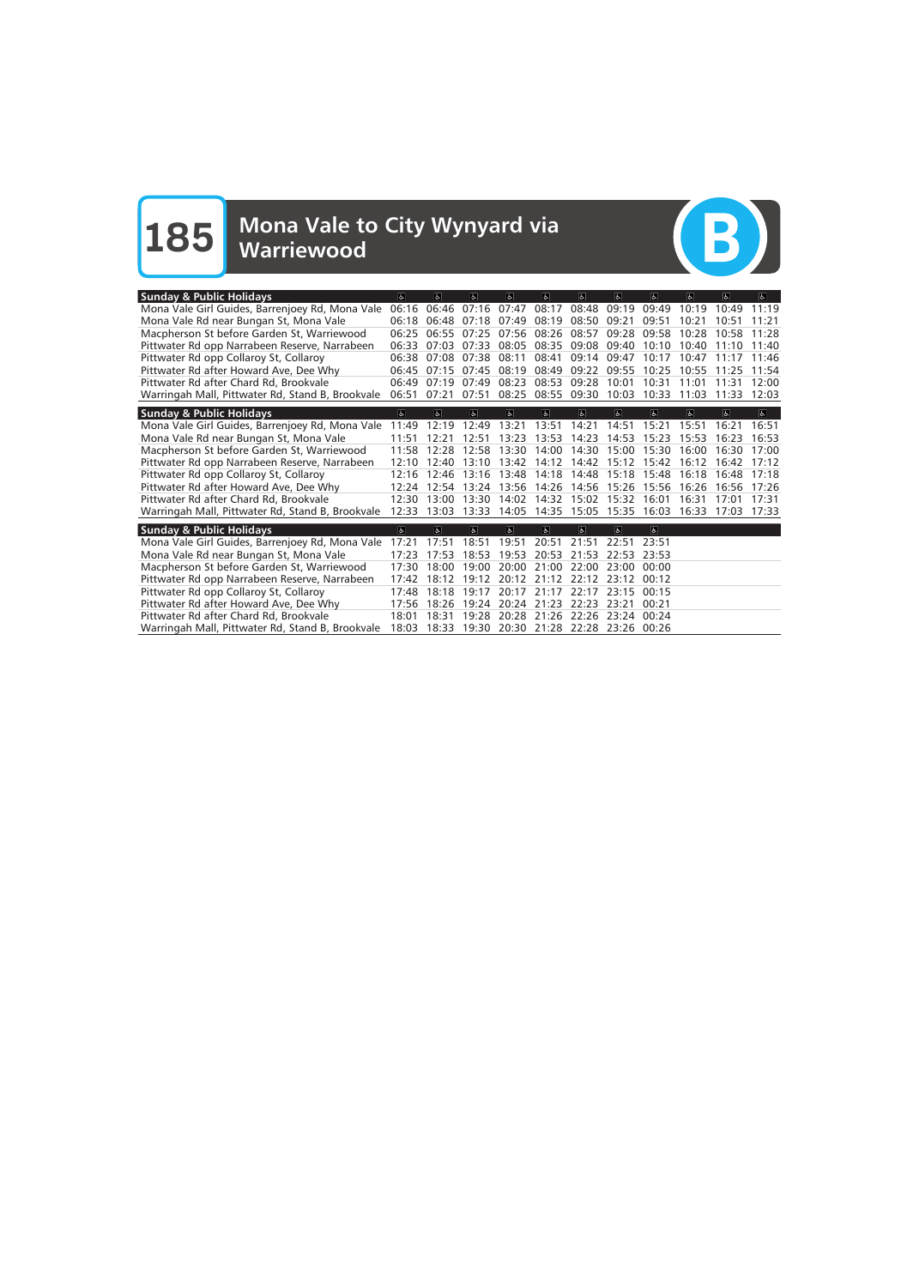**185** Mona Vale to City Wynyard via Warriewood



| <b>Sunday &amp; Public Holidays</b>              | $\alpha$       | le.                     | $\overline{a}$ | $\omega$                | $\sigma$                | $\sigma$          | $\sigma$                      | $\overline{a}$ | $ \mathbf{a} $          | $\overline{d}$ | $ \mathbf{f} $          |
|--------------------------------------------------|----------------|-------------------------|----------------|-------------------------|-------------------------|-------------------|-------------------------------|----------------|-------------------------|----------------|-------------------------|
| Mona Vale Girl Guides, Barrenjoey Rd, Mona Vale  | 06:16          | 06:46                   | 07:16          | 07:47                   | 08:17                   | 08:48             | 09:19                         | 09:49          | 10:19                   | 10:49          | 11:19                   |
| Mona Vale Rd near Bungan St, Mona Vale           | 06:18          | 06:48                   | 07:18          | 07:49                   | 08:19                   | 08:50             | 09:21                         | 09:51          | 10:21                   | 10:51          | 11:21                   |
| Macpherson St before Garden St, Warriewood       | 06:25          | 06:55                   | 07:25          | 07:56                   | 08:26                   | 08:57             | 09:28                         | 09:58          | 10:28                   | 10:58          | 11:28                   |
| Pittwater Rd opp Narrabeen Reserve, Narrabeen    | 06:33          | 07:03                   | 07:33          | 08:05                   | 08:35                   | 09:08 09:40       |                               | 10:10          | 10:40                   | 11:10          | 11:40                   |
| Pittwater Rd opp Collaroy St, Collaroy           | 06:38          | 07.08                   | 07:38          | 08:11                   | 08:41                   | 09:14 09:47       |                               | 10:17          | 10:47                   | 11:17          | 11:46                   |
| Pittwater Rd after Howard Ave, Dee Why           | 06:45          | 07:15                   | 07:45          | 08:19                   | 08:49                   | 09:22             | 09:55                         | 10:25          | 10:55                   | 11:25          | 11:54                   |
| Pittwater Rd after Chard Rd, Brookvale           | 06:49          | 07:19                   | 07:49          | 08:23                   | 08:53                   | 09:28             | 10:01                         | 10:31          | 11:01                   | 11:31          | 12:00                   |
| Warringah Mall, Pittwater Rd, Stand B, Brookvale | 06:51          | 07:21                   | 07:51          | 08:25                   | 08:55 09:30 10:03       |                   |                               | 10:33          | 11:03                   | 11:33          | 12:03                   |
| <b>Sunday &amp; Public Holidays</b>              | $\overline{6}$ | $\overline{\mathbf{e}}$ | $\overline{5}$ | $\overline{\mathbf{r}}$ | $\overline{a}$          | $\overline{6}$    | $\overline{6}$                | $\overline{6}$ | $\overline{\mathbf{z}}$ | $\overline{a}$ | $\overline{\mathbf{r}}$ |
| Mona Vale Girl Guides, Barrenjoey Rd, Mona Vale  | 11:49          | 12:19                   | 12:49          | 13:21                   | 13:51                   | 14:21             | 14:51                         | 15:21          | 15:51                   | 16:21          | 16:51                   |
| Mona Vale Rd near Bungan St, Mona Vale           | 11:51          | 12:21                   | 12:51          | 13:23                   | 13:53                   | 14:23             | 14:53                         | 15:23          | 15:53                   | 16:23          | 16:53                   |
| Macpherson St before Garden St, Warriewood       | 11:58          | 12:28                   | 12:58          | 13:30                   | 14:00                   | 14:30             | 15:00                         | 15:30          | 16:00                   | 16:30          | 17:00                   |
| Pittwater Rd opp Narrabeen Reserve, Narrabeen    | 12:10          | 12:40                   | 13:10          |                         | 13:42 14:12 14:42 15:12 |                   |                               | 15:42          | 16:12                   | 16:42          | 17:12                   |
| Pittwater Rd opp Collaroy St, Collaroy           | 12:16          | 12:46                   | 13:16          | 13:48                   | 14:18                   |                   | 14:48 15:18                   | 15:48          | 16:18                   | 16:48          | 17:18                   |
| Pittwater Rd after Howard Ave, Dee Why           |                | 12:24 12:54             | 13:24          | 13:56                   | 14:26                   | 14:56 15:26       |                               | 15:56          | 16:26                   | 16:56          | 17:26                   |
| Pittwater Rd after Chard Rd, Brookvale           | 12:30          | 13:00                   | 13:30          | 14:02                   |                         | 14:32 15:02 15:32 |                               | 16:01          | 16:31                   | 17:01          | 17:31                   |
| Warringah Mall, Pittwater Rd, Stand B, Brookvale | 12:33          | 13:03                   | 13:33          |                         | 14:05 14:35 15:05 15:35 |                   |                               | 16:03          | 16:33                   | 17:03          | 17:33                   |
|                                                  | $\sigma$       | $\sigma$                | $\mathbf{P}$   | $ {\bf g} $             | $\mathbf{P}$            | 6 <sup>1</sup>    | $\sigma$                      | $\mathfrak{S}$ |                         |                |                         |
| <b>Sunday &amp; Public Holidays</b>              |                |                         |                |                         |                         |                   |                               |                |                         |                |                         |
| Mona Vale Girl Guides, Barrenjoey Rd, Mona Vale  | 17:21          | 17:51                   | 18:51          | 19:51                   | 20:51                   | 21:51             | 22:51                         | 23:51          |                         |                |                         |
| Mona Vale Rd near Bungan St, Mona Vale           | 17:23          | 17:53                   | 18:53          | 19:53                   | 20:53 21:53             |                   | 22:53                         | 23:53          |                         |                |                         |
| Macpherson St before Garden St, Warriewood       | 17:30          | 18:00                   | 19:00          |                         | 20:00 21:00             | 22:00             | 23:00                         | 00:00          |                         |                |                         |
| Pittwater Rd opp Narrabeen Reserve, Narrabeen    | 17:42          | 18:12                   | 19:12          | 20:12                   | 21:12                   | 22:12             | 23:12                         | 00:12          |                         |                |                         |
| Pittwater Rd opp Collaroy St, Collaroy           | 17:48          | 18:18                   | 19:17          | 20:17                   | 21:17                   | 22:17             | 23:15                         | 00:15          |                         |                |                         |
| Pittwater Rd after Howard Ave, Dee Why           | 17:56          | 18:26                   | 19:24          |                         | 20:24 21:23 22:23 23:21 |                   |                               | 00:21          |                         |                |                         |
| Pittwater Rd after Chard Rd, Brookvale           | 18:01          | 18:31                   | 19:28          | 20:28                   | 21:26                   | 22:26             | 23:24                         | 00:24          |                         |                |                         |
| Warringah Mall, Pittwater Rd, Stand B, Brookvale | 18:03          | 18:33                   |                |                         |                         |                   | 19:30 20:30 21:28 22:28 23:26 | 00:26          |                         |                |                         |